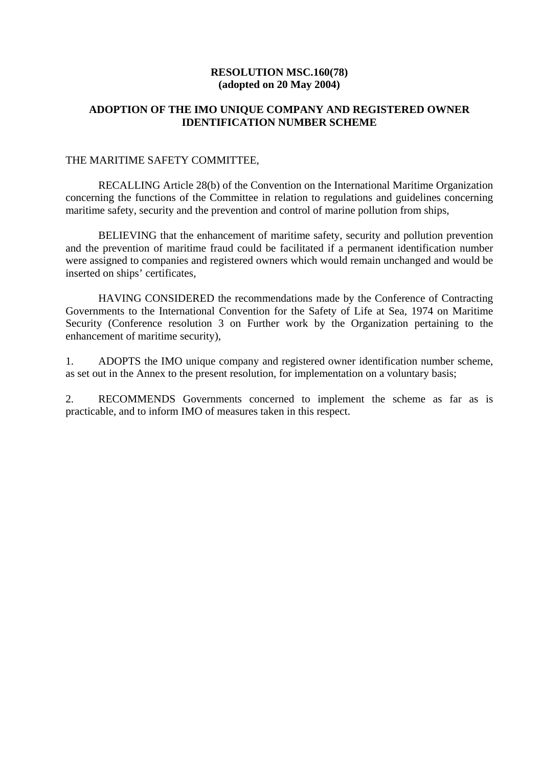# **RESOLUTION MSC.160(78) (adopted on 20 May 2004)**

# **ADOPTION OF THE IMO UNIQUE COMPANY AND REGISTERED OWNER IDENTIFICATION NUMBER SCHEME**

### THE MARITIME SAFETY COMMITTEE,

 RECALLING Article 28(b) of the Convention on the International Maritime Organization concerning the functions of the Committee in relation to regulations and guidelines concerning maritime safety, security and the prevention and control of marine pollution from ships,

 BELIEVING that the enhancement of maritime safety, security and pollution prevention and the prevention of maritime fraud could be facilitated if a permanent identification number were assigned to companies and registered owners which would remain unchanged and would be inserted on ships' certificates,

 HAVING CONSIDERED the recommendations made by the Conference of Contracting Governments to the International Convention for the Safety of Life at Sea, 1974 on Maritime Security (Conference resolution 3 on Further work by the Organization pertaining to the enhancement of maritime security),

1. ADOPTS the IMO unique company and registered owner identification number scheme, as set out in the Annex to the present resolution, for implementation on a voluntary basis;

2. RECOMMENDS Governments concerned to implement the scheme as far as is practicable, and to inform IMO of measures taken in this respect.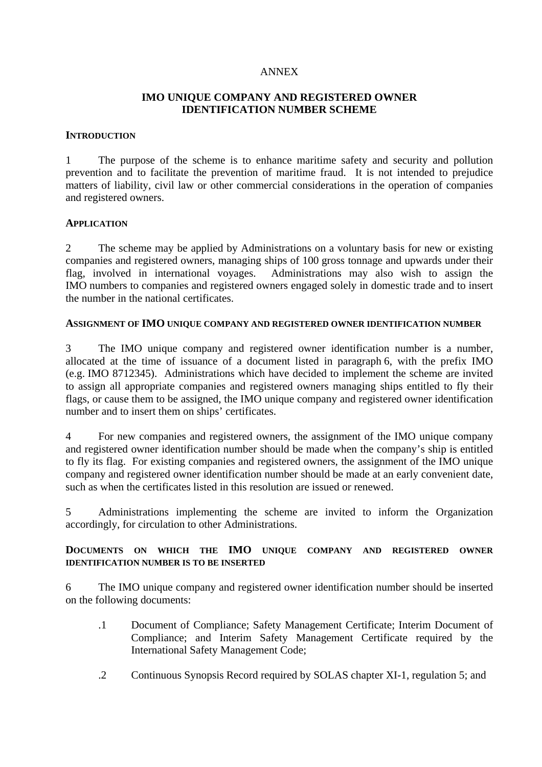### ANNEX

# **IMO UNIQUE COMPANY AND REGISTERED OWNER IDENTIFICATION NUMBER SCHEME**

#### **INTRODUCTION**

1 The purpose of the scheme is to enhance maritime safety and security and pollution prevention and to facilitate the prevention of maritime fraud. It is not intended to prejudice matters of liability, civil law or other commercial considerations in the operation of companies and registered owners.

#### **APPLICATION**

2 The scheme may be applied by Administrations on a voluntary basis for new or existing companies and registered owners, managing ships of 100 gross tonnage and upwards under their flag, involved in international voyages. Administrations may also wish to assign the IMO numbers to companies and registered owners engaged solely in domestic trade and to insert the number in the national certificates.

## **ASSIGNMENT OF IMO UNIQUE COMPANY AND REGISTERED OWNER IDENTIFICATION NUMBER**

3 The IMO unique company and registered owner identification number is a number, allocated at the time of issuance of a document listed in paragraph 6, with the prefix IMO (e.g. IMO 8712345). Administrations which have decided to implement the scheme are invited to assign all appropriate companies and registered owners managing ships entitled to fly their flags, or cause them to be assigned, the IMO unique company and registered owner identification number and to insert them on ships' certificates.

4 For new companies and registered owners, the assignment of the IMO unique company and registered owner identification number should be made when the company's ship is entitled to fly its flag. For existing companies and registered owners, the assignment of the IMO unique company and registered owner identification number should be made at an early convenient date, such as when the certificates listed in this resolution are issued or renewed.

5 Administrations implementing the scheme are invited to inform the Organization accordingly, for circulation to other Administrations.

# **DOCUMENTS ON WHICH THE IMO UNIQUE COMPANY AND REGISTERED OWNER IDENTIFICATION NUMBER IS TO BE INSERTED**

6 The IMO unique company and registered owner identification number should be inserted on the following documents:

- .1 Document of Compliance; Safety Management Certificate; Interim Document of Compliance; and Interim Safety Management Certificate required by the International Safety Management Code;
- .2 Continuous Synopsis Record required by SOLAS chapter XI-1, regulation 5; and